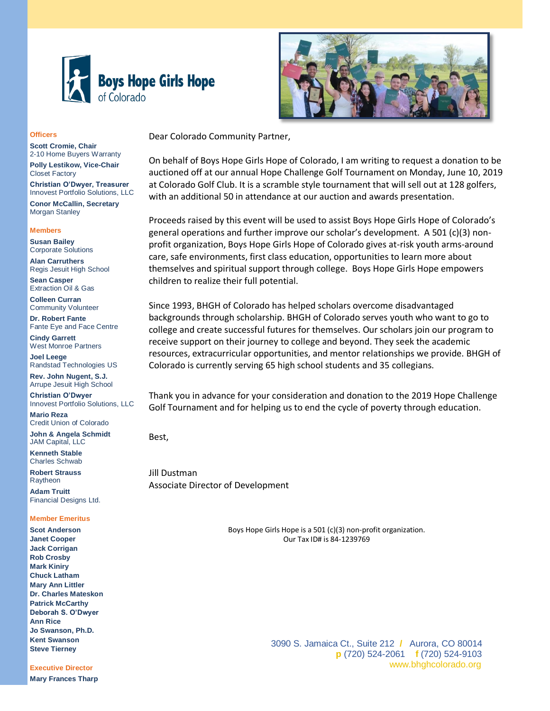



Dear Colorado Community Partner,

On behalf of Boys Hope Girls Hope of Colorado, I am writing to request a donation to be auctioned off at our annual Hope Challenge Golf Tournament on Monday, June 10, 2019 at Colorado Golf Club. It is a scramble style tournament that will sell out at 128 golfers, with an additional 50 in attendance at our auction and awards presentation.

Proceeds raised by this event will be used to assist Boys Hope Girls Hope of Colorado's general operations and further improve our scholar's development. A 501 (c)(3) nonprofit organization, Boys Hope Girls Hope of Colorado gives at-risk youth arms-around care, safe environments, first class education, opportunities to learn more about themselves and spiritual support through college. Boys Hope Girls Hope empowers children to realize their full potential.

Since 1993, BHGH of Colorado has helped scholars overcome disadvantaged backgrounds through scholarship. BHGH of Colorado serves youth who want to go to college and create successful futures for themselves. Our scholars join our program to receive support on their journey to college and beyond. They seek the academic resources, extracurricular opportunities, and mentor relationships we provide. BHGH of Colorado is currently serving 65 high school students and 35 collegians.

Thank you in advance for your consideration and donation to the 2019 Hope Challenge Golf Tournament and for helping us to end the cycle of poverty through education.

Best,

Jill Dustman Associate Director of Development

> Boys Hope Girls Hope is a 501 (c)(3) non-profit organization. Our Tax ID# is 84-1239769

#### **Officers**

**Scott Cromie, Chair** 2-10 Home Buyers Warranty **Polly Lestikow, Vice-Chair** Closet Factory

**Christian O'Dwyer, Treasurer** Innovest Portfolio Solutions, LLC

**Conor McCallin, Secretary** Morgan Stanley

### **Members**

**Susan Bailey** Corporate Solutions

**Alan Carruthers** Regis Jesuit High School

**Sean Casper** Extraction Oil & Gas

**Colleen Curran** Community Volunteer

**Dr. Robert Fante** Fante Eye and Face Centre

**Cindy Garrett** West Monroe Partners

**Joel Leege** Randstad Technologies US

**Rev. John Nugent, S.J.** Arrupe Jesuit High School **Christian O'Dwyer**

Innovest Portfolio Solutions, LLC **Mario Reza**

Credit Union of Colorado **John & Angela Schmidt** JAM Capital, LLC

**Kenneth Stable** Charles Schwab

**Robert Strauss** Raytheon

**Adam Truitt** Financial Designs Ltd.

#### **Member Emeritus**

**Scot Anderson Janet Cooper Jack Corrigan Rob Crosby Mark Kiniry Chuck Latham Mary Ann Littler Dr. Charles Mateskon Patrick McCarthy Deborah S. O'Dwyer Ann Rice Jo Swanson, Ph.D. Kent Swanson Steve Tierney**

**Executive Director**

**Mary Frances Tharp**